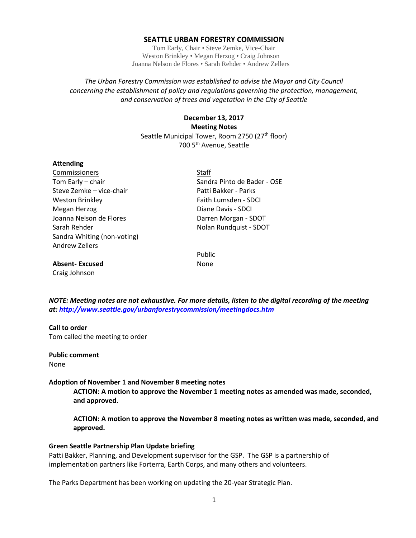#### **SEATTLE URBAN FORESTRY COMMISSION**

Tom Early, Chair • Steve Zemke, Vice-Chair Weston Brinkley • Megan Herzog • Craig Johnson Joanna Nelson de Flores • Sarah Rehder • Andrew Zellers

*The Urban Forestry Commission was established to advise the Mayor and City Council concerning the establishment of policy and regulations governing the protection, management, and conservation of trees and vegetation in the City of Seattle*

> **December 13, 2017 Meeting Notes** Seattle Municipal Tower, Room 2750 (27<sup>th</sup> floor) 700 5th Avenue, Seattle

#### **Attending**

Commissioners Staff Steve Zemke – vice-chair Patti Bakker - Parks Weston Brinkley **Faith Lumsden - SDCI** Megan Herzog **Diane Davis - SDCI** Joanna Nelson de Flores **Darren Morgan** - SDOT Sarah Rehder Nolan Rundquist - SDOT Sandra Whiting (non-voting) Andrew Zellers

Tom Early – chair Sandra Pinto de Bader - OSE

**Absent- Excused** None Craig Johnson

Public

*NOTE: Meeting notes are not exhaustive. For more details, listen to the digital recording of the meeting at:<http://www.seattle.gov/urbanforestrycommission/meetingdocs.htm>*

#### **Call to order**

Tom called the meeting to order

**Public comment** None

#### **Adoption of November 1 and November 8 meeting notes**

**ACTION: A motion to approve the November 1 meeting notes as amended was made, seconded, and approved.**

**ACTION: A motion to approve the November 8 meeting notes as written was made, seconded, and approved.**

#### **Green Seattle Partnership Plan Update briefing**

Patti Bakker, Planning, and Development supervisor for the GSP. The GSP is a partnership of implementation partners like Forterra, Earth Corps, and many others and volunteers.

The Parks Department has been working on updating the 20-year Strategic Plan.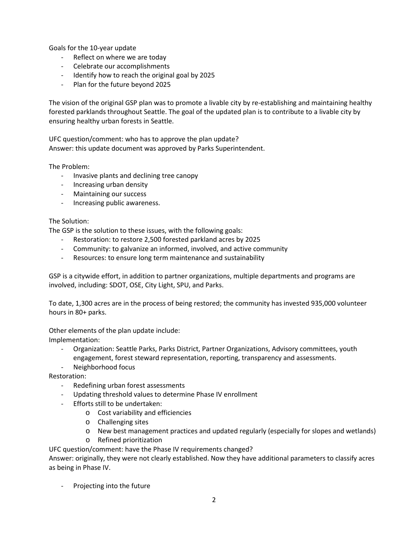Goals for the 10-year update

- Reflect on where we are today
- Celebrate our accomplishments
- Identify how to reach the original goal by 2025
- Plan for the future beyond 2025

The vision of the original GSP plan was to promote a livable city by re-establishing and maintaining healthy forested parklands throughout Seattle. The goal of the updated plan is to contribute to a livable city by ensuring healthy urban forests in Seattle.

UFC question/comment: who has to approve the plan update? Answer: this update document was approved by Parks Superintendent.

The Problem:

- Invasive plants and declining tree canopy
- Increasing urban density
- Maintaining our success
- Increasing public awareness.

# The Solution:

The GSP is the solution to these issues, with the following goals:

- Restoration: to restore 2,500 forested parkland acres by 2025
- Community: to galvanize an informed, involved, and active community
- Resources: to ensure long term maintenance and sustainability

GSP is a citywide effort, in addition to partner organizations, multiple departments and programs are involved, including: SDOT, OSE, City Light, SPU, and Parks.

To date, 1,300 acres are in the process of being restored; the community has invested 935,000 volunteer hours in 80+ parks.

Other elements of the plan update include:

Implementation:

- Organization: Seattle Parks, Parks District, Partner Organizations, Advisory committees, youth engagement, forest steward representation, reporting, transparency and assessments.
- Neighborhood focus

Restoration:

- Redefining urban forest assessments
- Updating threshold values to determine Phase IV enrollment
- Efforts still to be undertaken:
	- o Cost variability and efficiencies
	- o Challenging sites
	- o New best management practices and updated regularly (especially for slopes and wetlands)
	- o Refined prioritization

UFC question/comment: have the Phase IV requirements changed?

Answer: originally, they were not clearly established. Now they have additional parameters to classify acres as being in Phase IV.

Projecting into the future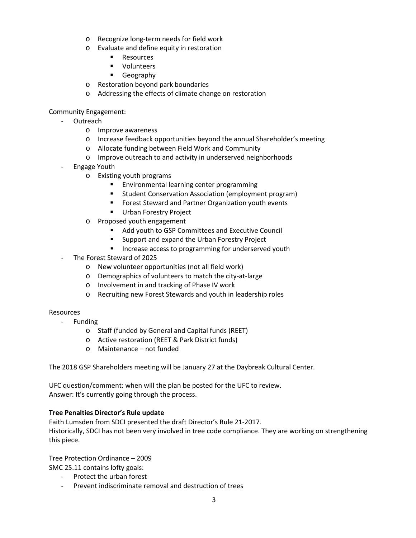- o Recognize long-term needs for field work
- o Evaluate and define equity in restoration
	- **Resources**
	- **volunteers**
	- **Geography**
- o Restoration beyond park boundaries
- o Addressing the effects of climate change on restoration

# Community Engagement:

- **Outreach** 
	- o Improve awareness
	- o Increase feedback opportunities beyond the annual Shareholder's meeting
	- o Allocate funding between Field Work and Community
	- o Improve outreach to and activity in underserved neighborhoods
- Engage Youth
	- o Existing youth programs
		- **Environmental learning center programming**
		- **EXECT** Student Conservation Association (employment program)
		- **FICT** Forest Steward and Partner Organization youth events
		- **Urban Forestry Project**
	- o Proposed youth engagement
		- Add youth to GSP Committees and Executive Council
		- Support and expand the Urban Forestry Project
		- **Increase access to programming for underserved youth**
- The Forest Steward of 2025
	- o New volunteer opportunities (not all field work)
	- o Demographics of volunteers to match the city-at-large
	- o Involvement in and tracking of Phase IV work
	- o Recruiting new Forest Stewards and youth in leadership roles

# Resources

- Funding
	- o Staff (funded by General and Capital funds (REET)
	- o Active restoration (REET & Park District funds)
	- o Maintenance not funded

The 2018 GSP Shareholders meeting will be January 27 at the Daybreak Cultural Center.

UFC question/comment: when will the plan be posted for the UFC to review. Answer: It's currently going through the process.

# **Tree Penalties Director's Rule update**

Faith Lumsden from SDCI presented the draft Director's Rule 21-2017. Historically, SDCI has not been very involved in tree code compliance. They are working on strengthening this piece.

Tree Protection Ordinance – 2009

SMC 25.11 contains lofty goals:

- Protect the urban forest
- Prevent indiscriminate removal and destruction of trees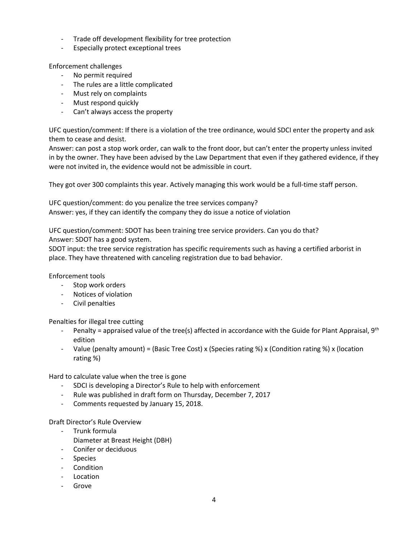- Trade off development flexibility for tree protection
- Especially protect exceptional trees

Enforcement challenges

- No permit required
- The rules are a little complicated
- Must rely on complaints
- Must respond quickly
- Can't always access the property

UFC question/comment: If there is a violation of the tree ordinance, would SDCI enter the property and ask them to cease and desist.

Answer: can post a stop work order, can walk to the front door, but can't enter the property unless invited in by the owner. They have been advised by the Law Department that even if they gathered evidence, if they were not invited in, the evidence would not be admissible in court.

They got over 300 complaints this year. Actively managing this work would be a full-time staff person.

UFC question/comment: do you penalize the tree services company? Answer: yes, if they can identify the company they do issue a notice of violation

UFC question/comment: SDOT has been training tree service providers. Can you do that? Answer: SDOT has a good system.

SDOT input: the tree service registration has specific requirements such as having a certified arborist in place. They have threatened with canceling registration due to bad behavior.

Enforcement tools

- Stop work orders
- Notices of violation
- Civil penalties

Penalties for illegal tree cutting

- Penalty = appraised value of the tree(s) affected in accordance with the Guide for Plant Appraisal,  $9<sup>th</sup>$ edition
- Value (penalty amount) = (Basic Tree Cost) x (Species rating %) x (Condition rating %) x (location rating %)

Hard to calculate value when the tree is gone

- SDCI is developing a Director's Rule to help with enforcement
- Rule was published in draft form on Thursday, December 7, 2017
- Comments requested by January 15, 2018.

Draft Director's Rule Overview

- Trunk formula
	- Diameter at Breast Height (DBH)
- Conifer or deciduous
- Species
- Condition
- Location
- **Grove**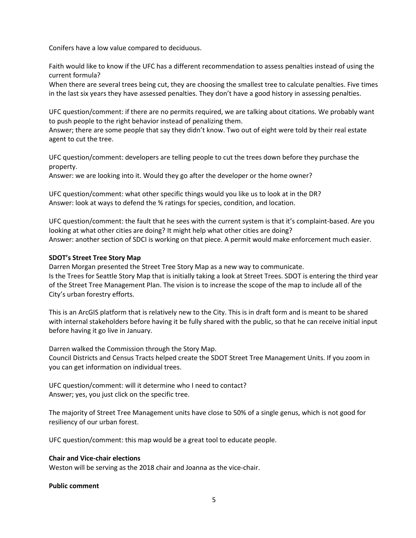Conifers have a low value compared to deciduous.

Faith would like to know if the UFC has a different recommendation to assess penalties instead of using the current formula?

When there are several trees being cut, they are choosing the smallest tree to calculate penalties. Five times in the last six years they have assessed penalties. They don't have a good history in assessing penalties.

UFC question/comment: if there are no permits required, we are talking about citations. We probably want to push people to the right behavior instead of penalizing them.

Answer; there are some people that say they didn't know. Two out of eight were told by their real estate agent to cut the tree.

UFC question/comment: developers are telling people to cut the trees down before they purchase the property.

Answer: we are looking into it. Would they go after the developer or the home owner?

UFC question/comment: what other specific things would you like us to look at in the DR? Answer: look at ways to defend the % ratings for species, condition, and location.

UFC question/comment: the fault that he sees with the current system is that it's complaint-based. Are you looking at what other cities are doing? It might help what other cities are doing? Answer: another section of SDCI is working on that piece. A permit would make enforcement much easier.

# **SDOT's Street Tree Story Map**

Darren Morgan presented the Street Tree Story Map as a new way to communicate. Is the Trees for Seattle Story Map that is initially taking a look at Street Trees. SDOT is entering the third year of the Street Tree Management Plan. The vision is to increase the scope of the map to include all of the City's urban forestry efforts.

This is an ArcGIS platform that is relatively new to the City. This is in draft form and is meant to be shared with internal stakeholders before having it be fully shared with the public, so that he can receive initial input before having it go live in January.

Darren walked the Commission through the Story Map. Council Districts and Census Tracts helped create the SDOT Street Tree Management Units. If you zoom in you can get information on individual trees.

UFC question/comment: will it determine who I need to contact? Answer; yes, you just click on the specific tree.

The majority of Street Tree Management units have close to 50% of a single genus, which is not good for resiliency of our urban forest.

UFC question/comment: this map would be a great tool to educate people.

# **Chair and Vice-chair elections**

Weston will be serving as the 2018 chair and Joanna as the vice-chair.

#### **Public comment**